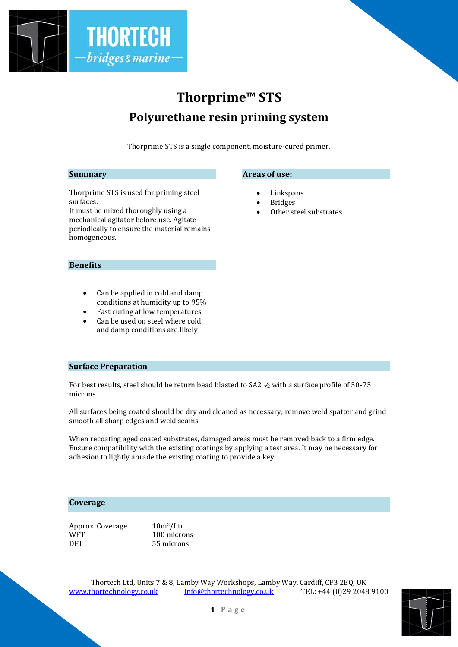

# **Thorprime™ STS Polyurethane resin priming system**

Thorprime STS is a single component, moisture-cured primer.

**Areas of use:**

**Linkspans Bridges** 

Other steel substrates

#### **Summary**

Thorprime STS is used for priming steel surfaces.

It must be mixed thoroughly using a mechanical agitator before use. Agitate periodically to ensure the material remains homogeneous.

## **Benefits**

- Can be applied in cold and damp conditions at humidity up to 95%
- Fast curing at low temperatures
- Can be used on steel where cold and damp conditions are likely

#### **Surface Preparation**

For best results, steel should be return bead blasted to SA2 ½ with a surface profile of 50-75 microns.

All surfaces being coated should be dry and cleaned as necessary; remove weld spatter and grind smooth all sharp edges and weld seams.

When recoating aged coated substrates, damaged areas must be removed back to a firm edge. Ensure compatibility with the existing coatings by applying a test area. It may be necessary for adhesion to lightly abrade the existing coating to provide a key.

### **Coverage**

| Approx. Coverage | $10m^2/L$ tr |
|------------------|--------------|
| WFT              | 100 microns  |
| <b>DFT</b>       | 55 microns   |

Thortech Ltd, Units 7 & 8, Lamby Way Workshops, Lamby Way, Cardiff, CF3 2EQ, UK [www.thortechnology.co.uk](http://www.thortechnology.co.uk/) [Info@thortechnology.co.uk](mailto:Info@thortechnology.co.uk) TEL: +44 (0)29 2048 9100

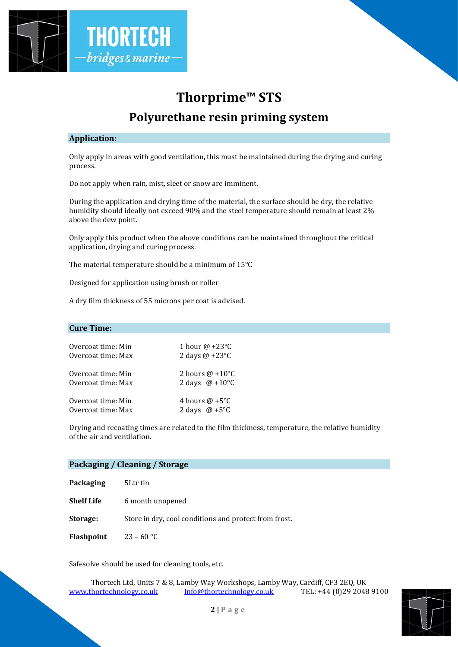

# **Thorprime™ STS Polyurethane resin priming system**

### **Application:**

Only apply in areas with good ventilation, this must be maintained during the drying and curing process.

Do not apply when rain, mist, sleet or snow are imminent.

During the application and drying time of the material, the surface should be dry, the relative humidity should ideally not exceed 90% and the steel temperature should remain at least 2% above the dew point.

Only apply this product when the above conditions can be maintained throughout the critical application, drying and curing process.

The material temperature should be a minimum of 15°C

Designed for application using brush or roller

A dry film thickness of 55 microns per coat is advised.

#### **Cure Time:**

| Overcoat time: Min | 1 hour $\omega$ +23°C  |
|--------------------|------------------------|
| Overcoat time: Max | 2 days $@ + 23°C$      |
| Overcoat time: Min | 2 hours $\omega$ +10°C |
| Overcoat time: Max | 2 days $@ + 10°C$      |
| Overcoat time: Min | 4 hours $\omega$ +5°C  |
| Overcoat time: Max | 2 days $\omega$ +5°C   |

Drying and recoating times are related to the film thickness, temperature, the relative humidity of the air and ventilation.

| Packaging / Cleaning / Storage |                                                       |  |
|--------------------------------|-------------------------------------------------------|--|
| Packaging                      | 5Ltr tin                                              |  |
| <b>Shelf Life</b>              | 6 month unopened                                      |  |
| Storage:                       | Store in dry, cool conditions and protect from frost. |  |
| Flashpoint                     | $23 - 60$ °C                                          |  |
|                                |                                                       |  |

Safesolve should be used for cleaning tools, etc.

Thortech Ltd, Units 7 & 8, Lamby Way Workshops, Lamby Way, Cardiff, CF3 2EQ, UK [www.thortechnology.co.uk](http://www.thortechnology.co.uk/) [Info@thortechnology.co.uk](mailto:Info@thortechnology.co.uk) TEL: +44 (0)29 2048 9100